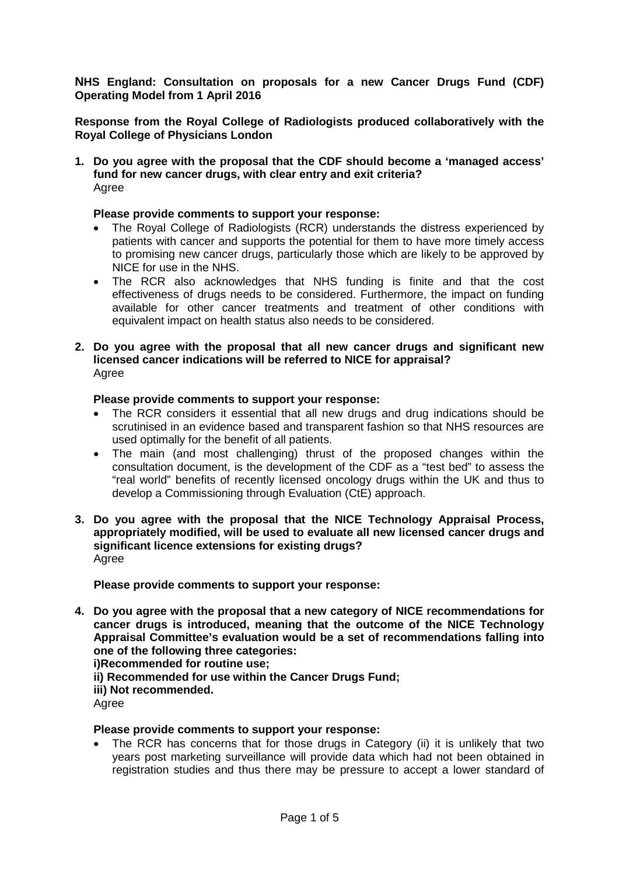**NHS England: Consultation on proposals for a new Cancer Drugs Fund (CDF) Operating Model from 1 April 2016**

**Response from the Royal College of Radiologists produced collaboratively with the Royal College of Physicians London**

**1. Do you agree with the proposal that the CDF should become a 'managed access' fund for new cancer drugs, with clear entry and exit criteria?** Agree

### **Please provide comments to support your response:**

- The Royal College of Radiologists (RCR) understands the distress experienced by patients with cancer and supports the potential for them to have more timely access to promising new cancer drugs, particularly those which are likely to be approved by NICE for use in the NHS.
- The RCR also acknowledges that NHS funding is finite and that the cost effectiveness of drugs needs to be considered. Furthermore, the impact on funding available for other cancer treatments and treatment of other conditions with equivalent impact on health status also needs to be considered.
- **2. Do you agree with the proposal that all new cancer drugs and significant new licensed cancer indications will be referred to NICE for appraisal?** Agree

### **Please provide comments to support your response:**

- The RCR considers it essential that all new drugs and drug indications should be scrutinised in an evidence based and transparent fashion so that NHS resources are used optimally for the benefit of all patients.
- The main (and most challenging) thrust of the proposed changes within the consultation document, is the development of the CDF as a "test bed" to assess the "real world" benefits of recently licensed oncology drugs within the UK and thus to develop a Commissioning through Evaluation (CtE) approach.
- **3. Do you agree with the proposal that the NICE Technology Appraisal Process, appropriately modified, will be used to evaluate all new licensed cancer drugs and significant licence extensions for existing drugs?** Agree

**Please provide comments to support your response:**

**4. Do you agree with the proposal that a new category of NICE recommendations for cancer drugs is introduced, meaning that the outcome of the NICE Technology Appraisal Committee's evaluation would be a set of recommendations falling into one of the following three categories:**

**i)Recommended for routine use;**

**ii) Recommended for use within the Cancer Drugs Fund;**

**iii) Not recommended.**

Agree

### **Please provide comments to support your response:**

The RCR has concerns that for those drugs in Category (ii) it is unlikely that two years post marketing surveillance will provide data which had not been obtained in registration studies and thus there may be pressure to accept a lower standard of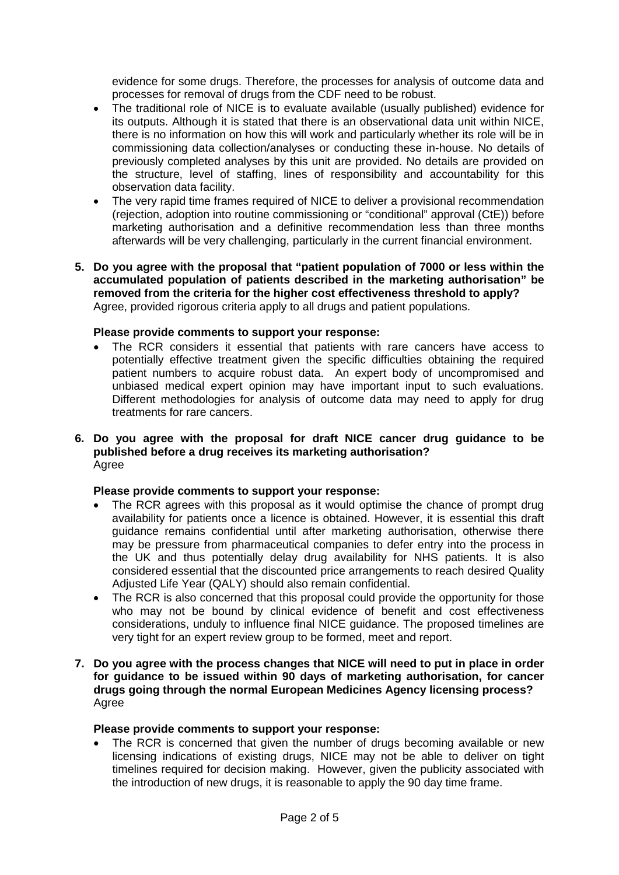evidence for some drugs. Therefore, the processes for analysis of outcome data and processes for removal of drugs from the CDF need to be robust.

- The traditional role of NICE is to evaluate available (usually published) evidence for its outputs. Although it is stated that there is an observational data unit within NICE, there is no information on how this will work and particularly whether its role will be in commissioning data collection/analyses or conducting these in-house. No details of previously completed analyses by this unit are provided. No details are provided on the structure, level of staffing, lines of responsibility and accountability for this observation data facility.
- The very rapid time frames required of NICE to deliver a provisional recommendation (rejection, adoption into routine commissioning or "conditional" approval (CtE)) before marketing authorisation and a definitive recommendation less than three months afterwards will be very challenging, particularly in the current financial environment.
- **5. Do you agree with the proposal that "patient population of 7000 or less within the accumulated population of patients described in the marketing authorisation" be removed from the criteria for the higher cost effectiveness threshold to apply?** Agree, provided rigorous criteria apply to all drugs and patient populations.

## **Please provide comments to support your response:**

- The RCR considers it essential that patients with rare cancers have access to potentially effective treatment given the specific difficulties obtaining the required patient numbers to acquire robust data. An expert body of uncompromised and unbiased medical expert opinion may have important input to such evaluations. Different methodologies for analysis of outcome data may need to apply for drug treatments for rare cancers.
- **6. Do you agree with the proposal for draft NICE cancer drug guidance to be published before a drug receives its marketing authorisation?** Agree

### **Please provide comments to support your response:**

- The RCR agrees with this proposal as it would optimise the chance of prompt drug availability for patients once a licence is obtained. However, it is essential this draft guidance remains confidential until after marketing authorisation, otherwise there may be pressure from pharmaceutical companies to defer entry into the process in the UK and thus potentially delay drug availability for NHS patients. It is also considered essential that the discounted price arrangements to reach desired Quality Adjusted Life Year (QALY) should also remain confidential.
- The RCR is also concerned that this proposal could provide the opportunity for those who may not be bound by clinical evidence of benefit and cost effectiveness considerations, unduly to influence final NICE guidance. The proposed timelines are very tight for an expert review group to be formed, meet and report.
- **7. Do you agree with the process changes that NICE will need to put in place in order for guidance to be issued within 90 days of marketing authorisation, for cancer drugs going through the normal European Medicines Agency licensing process?** Agree

### **Please provide comments to support your response:**

• The RCR is concerned that given the number of drugs becoming available or new licensing indications of existing drugs, NICE may not be able to deliver on tight timelines required for decision making. However, given the publicity associated with the introduction of new drugs, it is reasonable to apply the 90 day time frame.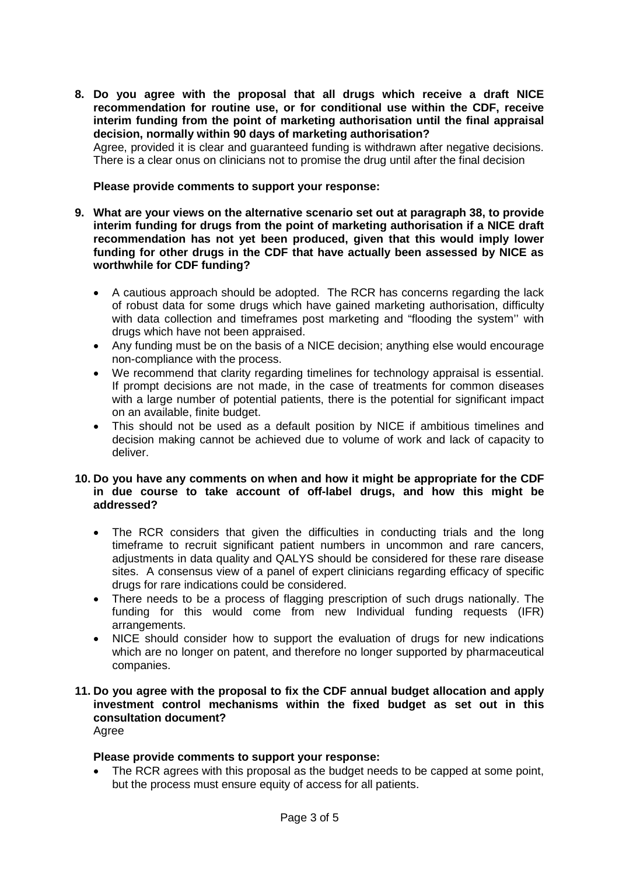**8. Do you agree with the proposal that all drugs which receive a draft NICE recommendation for routine use, or for conditional use within the CDF, receive interim funding from the point of marketing authorisation until the final appraisal decision, normally within 90 days of marketing authorisation?**

Agree, provided it is clear and guaranteed funding is withdrawn after negative decisions. There is a clear onus on clinicians not to promise the drug until after the final decision

## **Please provide comments to support your response:**

- **9. What are your views on the alternative scenario set out at paragraph 38, to provide interim funding for drugs from the point of marketing authorisation if a NICE draft recommendation has not yet been produced, given that this would imply lower funding for other drugs in the CDF that have actually been assessed by NICE as worthwhile for CDF funding?**
	- A cautious approach should be adopted. The RCR has concerns regarding the lack of robust data for some drugs which have gained marketing authorisation, difficulty with data collection and timeframes post marketing and "flooding the system" with drugs which have not been appraised.
	- Any funding must be on the basis of a NICE decision; anything else would encourage non-compliance with the process.
	- We recommend that clarity regarding timelines for technology appraisal is essential. If prompt decisions are not made, in the case of treatments for common diseases with a large number of potential patients, there is the potential for significant impact on an available, finite budget.
	- This should not be used as a default position by NICE if ambitious timelines and decision making cannot be achieved due to volume of work and lack of capacity to deliver.

## **10. Do you have any comments on when and how it might be appropriate for the CDF in due course to take account of off-label drugs, and how this might be addressed?**

- The RCR considers that given the difficulties in conducting trials and the long timeframe to recruit significant patient numbers in uncommon and rare cancers, adjustments in data quality and QALYS should be considered for these rare disease sites. A consensus view of a panel of expert clinicians regarding efficacy of specific drugs for rare indications could be considered.
- There needs to be a process of flagging prescription of such drugs nationally. The funding for this would come from new Individual funding requests (IFR) arrangements.
- NICE should consider how to support the evaluation of drugs for new indications which are no longer on patent, and therefore no longer supported by pharmaceutical companies.

### **11. Do you agree with the proposal to fix the CDF annual budget allocation and apply investment control mechanisms within the fixed budget as set out in this consultation document?** Agree

# **Please provide comments to support your response:**

• The RCR agrees with this proposal as the budget needs to be capped at some point, but the process must ensure equity of access for all patients.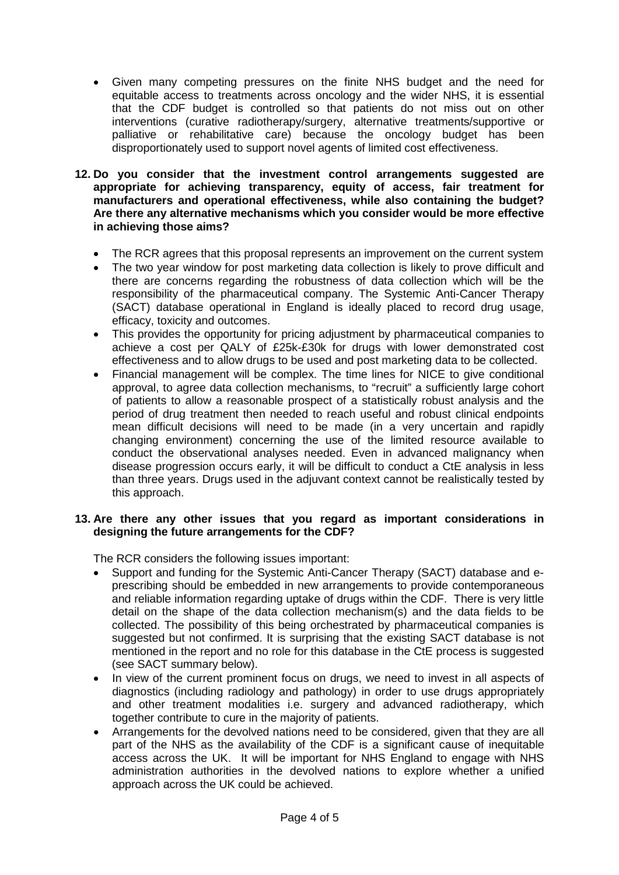• Given many competing pressures on the finite NHS budget and the need for equitable access to treatments across oncology and the wider NHS, it is essential that the CDF budget is controlled so that patients do not miss out on other interventions (curative radiotherapy/surgery, alternative treatments/supportive or palliative or rehabilitative care) because the oncology budget has been disproportionately used to support novel agents of limited cost effectiveness.

## **12. Do you consider that the investment control arrangements suggested are appropriate for achieving transparency, equity of access, fair treatment for manufacturers and operational effectiveness, while also containing the budget? Are there any alternative mechanisms which you consider would be more effective in achieving those aims?**

- The RCR agrees that this proposal represents an improvement on the current system
- The two year window for post marketing data collection is likely to prove difficult and there are concerns regarding the robustness of data collection which will be the responsibility of the pharmaceutical company. The Systemic Anti-Cancer Therapy (SACT) database operational in England is ideally placed to record drug usage, efficacy, toxicity and outcomes.
- This provides the opportunity for pricing adjustment by pharmaceutical companies to achieve a cost per QALY of £25k-£30k for drugs with lower demonstrated cost effectiveness and to allow drugs to be used and post marketing data to be collected.
- Financial management will be complex. The time lines for NICE to give conditional approval, to agree data collection mechanisms, to "recruit" a sufficiently large cohort of patients to allow a reasonable prospect of a statistically robust analysis and the period of drug treatment then needed to reach useful and robust clinical endpoints mean difficult decisions will need to be made (in a very uncertain and rapidly changing environment) concerning the use of the limited resource available to conduct the observational analyses needed. Even in advanced malignancy when disease progression occurs early, it will be difficult to conduct a CtE analysis in less than three years. Drugs used in the adjuvant context cannot be realistically tested by this approach.

# **13. Are there any other issues that you regard as important considerations in designing the future arrangements for the CDF?**

The RCR considers the following issues important:

- Support and funding for the Systemic Anti-Cancer Therapy (SACT) database and eprescribing should be embedded in new arrangements to provide contemporaneous and reliable information regarding uptake of drugs within the CDF. There is very little detail on the shape of the data collection mechanism(s) and the data fields to be collected. The possibility of this being orchestrated by pharmaceutical companies is suggested but not confirmed. It is surprising that the existing SACT database is not mentioned in the report and no role for this database in the CtE process is suggested (see SACT summary below).
- In view of the current prominent focus on drugs, we need to invest in all aspects of diagnostics (including radiology and pathology) in order to use drugs appropriately and other treatment modalities i.e. surgery and advanced radiotherapy, which together contribute to cure in the majority of patients.
- Arrangements for the devolved nations need to be considered, given that they are all part of the NHS as the availability of the CDF is a significant cause of inequitable access across the UK. It will be important for NHS England to engage with NHS administration authorities in the devolved nations to explore whether a unified approach across the UK could be achieved.